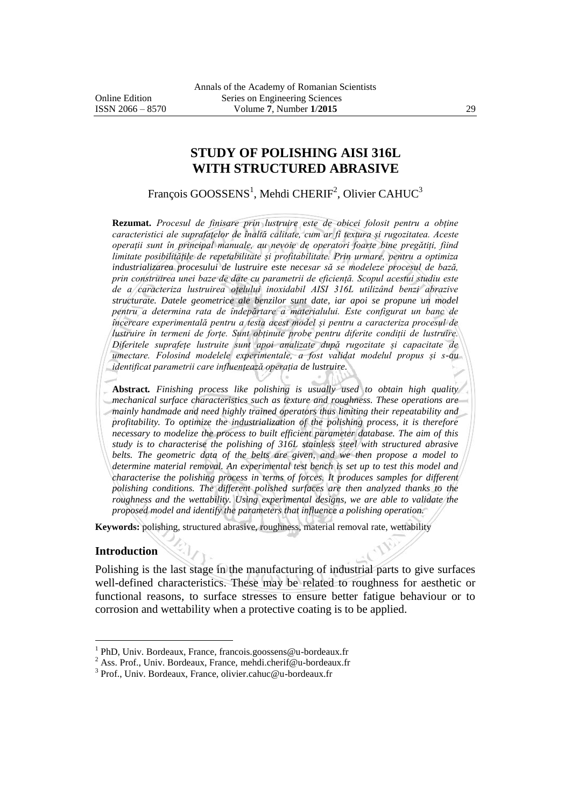# **STUDY OF POLISHING AISI 316L WITH STRUCTURED ABRASIVE**

François GOOSSENS<sup>1</sup>, Mehdi CHERIF<sup>2</sup>, Olivier CAHUC<sup>3</sup>

**Rezumat.** *Procesul de finisare prin lustruire este de obicei folosit pentru a obține caracteristici ale suprafațelor de înaltă calitate, cum ar fi textura și rugozitatea. Aceste operații sunt în principal manuale, au nevoie de operatori foarte bine pregătiți, fiind limitate posibilitățile de repetabilitate și profitabilitate. Prin urmare, pentru a optimiza industrializarea procesului de lustruire este necesar să se modeleze procesul de bază, prin construirea unei baze de date cu parametrii de eficiență. Scopul acestui studiu este de a caracteriza lustruirea oțelului inoxidabil AISI 316L utilizând benzi abrazive structurate. Datele geometrice ale benzilor sunt date, iar apoi se propune un model pentru a determina rata de îndepărtare a materialului. Este configurat un banc de încercare experimentală pentru a testa acest model și pentru a caracteriza procesul de lustruire în termeni de forțe. Sunt obținute probe pentru diferite condiții de lustruire. Diferitele suprafețe lustruite sunt apoi analizate după rugozitate și capacitate de umectare. Folosind modelele experimentale, a fost validat modelul propus și s-au identificat parametrii care influențează operația de lustruire.*

**Abstract***. Finishing process like polishing is usually used to obtain high quality mechanical surface characteristics such as texture and roughness. These operations are mainly handmade and need highly trained operators thus limiting their repeatability and profitability. To optimize the industrialization of the polishing process, it is therefore necessary to modelize the process to built efficient parameter database. The aim of this study is to characterise the polishing of 316L stainless steel with structured abrasive belts. The geometric data of the belts are given, and we then propose a model to determine material removal. An experimental test bench is set up to test this model and characterise the polishing process in terms of forces. It produces samples for different polishing conditions. The different polished surfaces are then analyzed thanks to the roughness and the wettability. Using experimental designs, we are able to validate the proposed model and identify the parameters that influence a polishing operation.*

**Keywords:** polishing, structured abrasive, roughness, material removal rate, wettability

#### **Introduction**

 $\overline{a}$ 

Polishing is the last stage in the manufacturing of industrial parts to give surfaces well-defined characteristics. These may be related to roughness for aesthetic or functional reasons, to surface stresses to ensure better fatigue behaviour or to corrosion and wettability when a protective coating is to be applied.

<sup>&</sup>lt;sup>1</sup> PhD, Univ. Bordeaux, France, francois.goossens@u-bordeaux.fr

<sup>&</sup>lt;sup>2</sup> Ass. Prof., Univ. Bordeaux, France, mehdi.cherif@u-bordeaux.fr

<sup>&</sup>lt;sup>3</sup> Prof., Univ. Bordeaux, France, olivier.cahuc@u-bordeaux.fr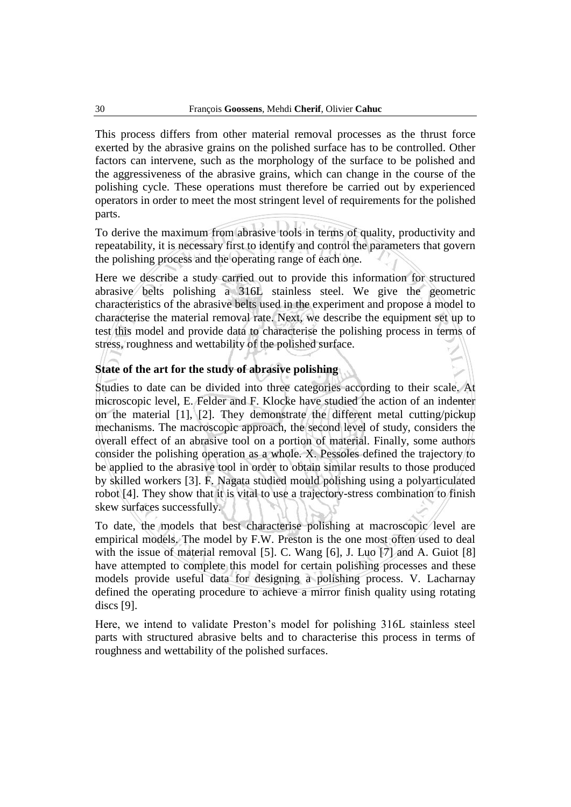This process differs from other material removal processes as the thrust force exerted by the abrasive grains on the polished surface has to be controlled. Other factors can intervene, such as the morphology of the surface to be polished and the aggressiveness of the abrasive grains, which can change in the course of the polishing cycle. These operations must therefore be carried out by experienced operators in order to meet the most stringent level of requirements for the polished parts.

To derive the maximum from abrasive tools in terms of quality, productivity and repeatability, it is necessary first to identify and control the parameters that govern the polishing process and the operating range of each one.

Here we describe a study carried out to provide this information for structured abrasive belts polishing a 316L stainless steel. We give the geometric characteristics of the abrasive belts used in the experiment and propose a model to characterise the material removal rate. Next, we describe the equipment set up to test this model and provide data to characterise the polishing process in terms of stress, roughness and wettability of the polished surface.

# **State of the art for the study of abrasive polishing**

Studies to date can be divided into three categories according to their scale. At microscopic level, E. Felder and F. Klocke have studied the action of an indenter on the material [1], [2]. They demonstrate the different metal cutting/pickup mechanisms. The macroscopic approach, the second level of study, considers the overall effect of an abrasive tool on a portion of material. Finally, some authors consider the polishing operation as a whole. X. Pessoles defined the trajectory to be applied to the abrasive tool in order to obtain similar results to those produced by skilled workers [3]. F. Nagata studied mould polishing using a polyarticulated robot [4]. They show that it is vital to use a trajectory-stress combination to finish skew surfaces successfully.

To date, the models that best characterise polishing at macroscopic level are empirical models. The model by F.W. Preston is the one most often used to deal with the issue of material removal [5]. C. Wang [6], J. Luo [7] and A. Guiot [8] have attempted to complete this model for certain polishing processes and these models provide useful data for designing a polishing process. V. Lacharnay defined the operating procedure to achieve a mirror finish quality using rotating discs [9].

Here, we intend to validate Preston's model for polishing 316L stainless steel parts with structured abrasive belts and to characterise this process in terms of roughness and wettability of the polished surfaces.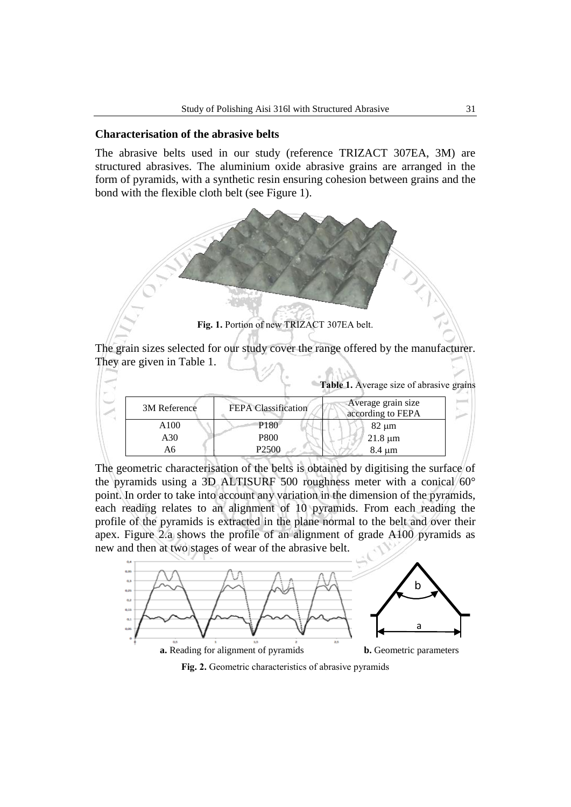#### **Characterisation of the abrasive belts**

The abrasive belts used in our study (reference TRIZACT 307EA, 3M) are structured abrasives. The aluminium oxide abrasive grains are arranged in the form of pyramids, with a synthetic resin ensuring cohesion between grains and the bond with the flexible cloth belt (see Figure 1).



The grain sizes selected for our study cover the range offered by the manufacturer. They are given in Table 1.  $\sum_{i=1}^{n}$ 

| 3M Reference | <b>FEPA Classification</b> | Average grain size<br>according to FEPA |
|--------------|----------------------------|-----------------------------------------|
| A100         | P <sub>180</sub>           | $82 \mu m$                              |
| A30          | P800                       | $21.8 \mu m$                            |
| A6           | P <sub>2500</sub>          | $8.4 \mu m$                             |

The geometric characterisation of the belts is obtained by digitising the surface of the pyramids using a 3D ALTISURF 500 roughness meter with a conical 60° point. In order to take into account any variation in the dimension of the pyramids, each reading relates to an alignment of 10 pyramids. From each reading the profile of the pyramids is extracted in the plane normal to the belt and over their apex. Figure 2.a shows the profile of an alignment of grade A100 pyramids as new and then at two stages of wear of the abrasive belt.



Fig. 2. Geometric characteristics of abrasive pyramids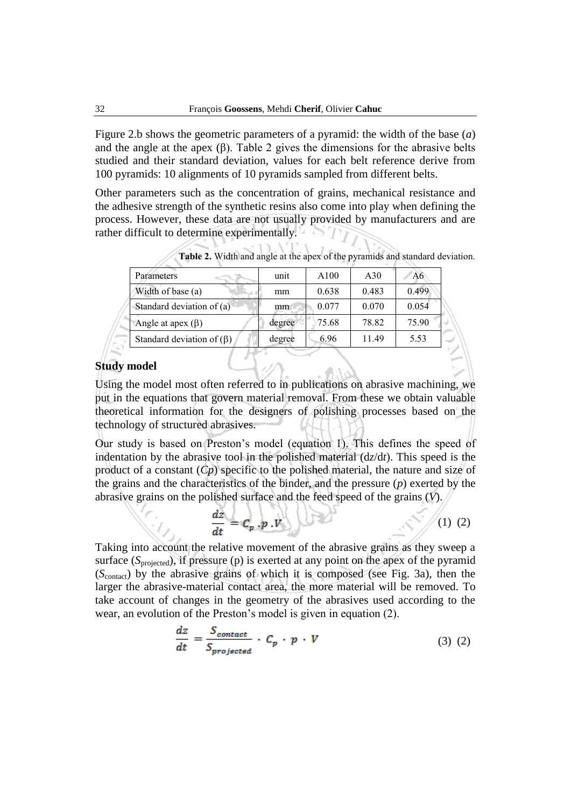Figure 2.b shows the geometric parameters of a pyramid: the width of the base (*a*) and the angle at the apex  $(\beta)$ . Table 2 gives the dimensions for the abrasive belts studied and their standard deviation, values for each belt reference derive from 100 pyramids: 10 alignments of 10 pyramids sampled from different belts.

Other parameters such as the concentration of grains, mechanical resistance and the adhesive strength of the synthetic resins also come into play when defining the process. However, these data are not usually provided by manufacturers and are rather difficult to determine experimentally.

| unit   | A100  | A30   | A6    |
|--------|-------|-------|-------|
| mm     | 0.638 | 0.483 | 0.499 |
| mm     | 0.077 | 0.070 | 0.054 |
| degree | 75.68 | 78.82 | 75.90 |
| degree | 6.96  | 1149  | 5.53  |
|        |       |       |       |

**Table 2.** Width and angle at the apex of the pyramids and standard deviation.

# **Study model**

Using the model most often referred to in publications on abrasive machining, we put in the equations that govern material removal. From these we obtain valuable theoretical information for the designers of polishing processes based on the technology of structured abrasives.

Our study is based on Preston's model (equation 1). This defines the speed of indentation by the abrasive tool in the polished material (d*z*/d*t*). This speed is the product of a constant (*Cp*) specific to the polished material, the nature and size of the grains and the characteristics of the binder, and the pressure (*p*) exerted by the abrasive grains on the polished surface and the feed speed of the grains (*V*).

$$
\frac{dz}{dt} = C_p \cdot p \cdot V \qquad (2)
$$

Taking into account the relative movement of the abrasive grains as they sweep a surface (S<sub>projected</sub>), if pressure (p) is exerted at any point on the apex of the pyramid (*S*contact) by the abrasive grains of which it is composed (see Fig. 3a), then the larger the abrasive-material contact area, the more material will be removed. To take account of changes in the geometry of the abrasives used according to the wear, an evolution of the Preston's model is given in equation (2).

$$
\frac{dz}{dt} = \frac{S_{contact}}{S_{projected}} \cdot C_p \cdot p \cdot V \tag{3}
$$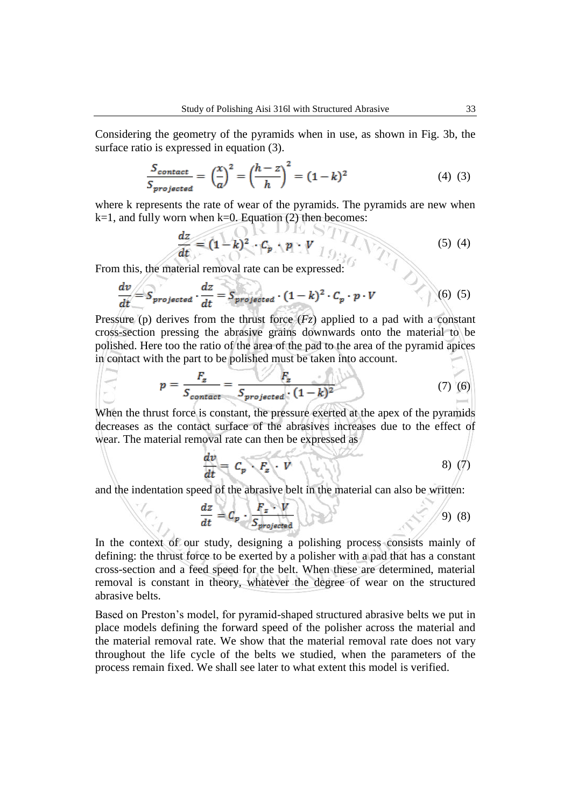Considering the geometry of the pyramids when in use, as shown in Fig. 3b, the surface ratio is expressed in equation (3).

$$
\frac{S_{contact}}{S_{projected}} = \left(\frac{x}{a}\right)^2 = \left(\frac{h-z}{h}\right)^2 = (1-k)^2\tag{4}
$$

where k represents the rate of wear of the pyramids. The pyramids are new when  $k=1$ , and fully worn when  $k=0$ . Equation (2) then becomes:

$$
\frac{dz}{dt} = (1 - k)^2 \cdot C_p \cdot p \cdot V \quad (5) \tag{5}
$$

From this, the material removal rate can be expressed:

$$
\frac{dv}{dt} = S_{projected} \cdot \frac{dz}{dt} = S_{projected} \cdot (1 - k)^2 \cdot C_p \cdot p \cdot V \tag{6}
$$

Pressure (p) derives from the thrust force  $(Fz)$  applied to a pad with a constant cross-section pressing the abrasive grains downwards onto the material to be polished. Here too the ratio of the area of the pad to the area of the pyramid apices in contact with the part to be polished must be taken into account.

$$
p = \frac{F_z}{S_{contact}} = \frac{F_z}{S_{projected} \cdot (1 - k)^2}
$$
 (7) (6)

When the thrust force is constant, the pressure exerted at the apex of the pyramids decreases as the contact surface of the abrasives increases due to the effect of wear. The material removal rate can then be expressed as

$$
\frac{dv}{dt} = C_p \cdot F_z \cdot V \quad (3)
$$

and the indentation speed of the abrasive belt in the material can also be written:

$$
\frac{dz}{dt} = C_p \cdot \frac{F_z \cdot V}{S_{projected}}
$$
 (8)

In the context of our study, designing a polishing process consists mainly of defining: the thrust force to be exerted by a polisher with a pad that has a constant cross-section and a feed speed for the belt. When these are determined, material removal is constant in theory, whatever the degree of wear on the structured abrasive belts.

Based on Preston's model, for pyramid-shaped structured abrasive belts we put in place models defining the forward speed of the polisher across the material and the material removal rate. We show that the material removal rate does not vary throughout the life cycle of the belts we studied, when the parameters of the process remain fixed. We shall see later to what extent this model is verified.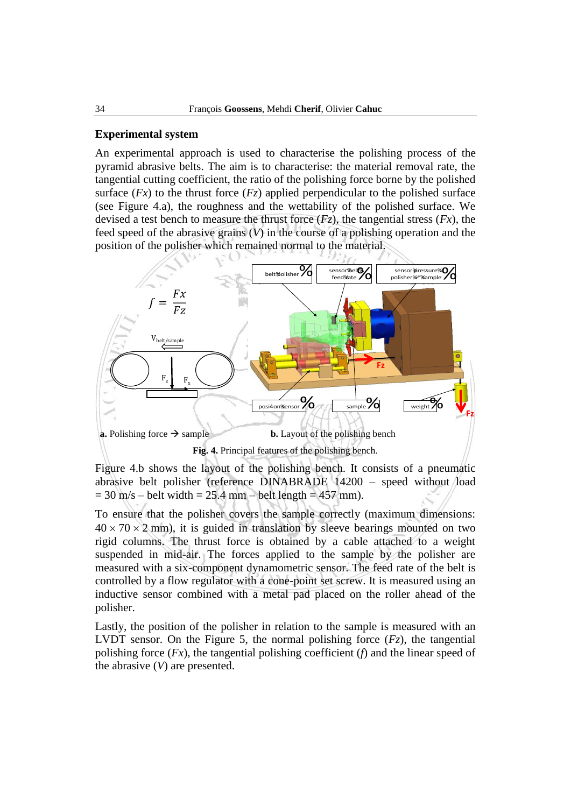#### **Experimental system**

An experimental approach is used to characterise the polishing process of the pyramid abrasive belts. The aim is to characterise: the material removal rate, the tangential cutting coefficient, the ratio of the polishing force borne by the polished surface  $(Fx)$  to the thrust force  $(Fz)$  applied perpendicular to the polished surface (see Figure 4.a), the roughness and the wettability of the polished surface. We devised a test bench to measure the thrust force  $(Fz)$ , the tangential stress  $(Fx)$ , the feed speed of the abrasive grains (*V*) in the course of a polishing operation and the position of the polisher which remained normal to the material.



Figure 4.b shows the layout of the polishing bench. It consists of a pneumatic abrasive belt polisher (reference DINABRADE 14200 – speed without load  $= 30$  m/s – belt width  $= 25.4$  mm – belt length  $= 457$  mm).

To ensure that the polisher covers the sample correctly (maximum dimensions:  $40 \times 70 \times 2$  mm), it is guided in translation by sleeve bearings mounted on two rigid columns. The thrust force is obtained by a cable attached to a weight suspended in mid-air. The forces applied to the sample by the polisher are measured with a six-component dynamometric sensor. The feed rate of the belt is controlled by a flow regulator with a cone-point set screw. It is measured using an inductive sensor combined with a metal pad placed on the roller ahead of the polisher.

Lastly, the position of the polisher in relation to the sample is measured with an LVDT sensor. On the Figure 5, the normal polishing force  $(Fz)$ , the tangential polishing force (*Fx*), the tangential polishing coefficient (*f*) and the linear speed of the abrasive (*V*) are presented.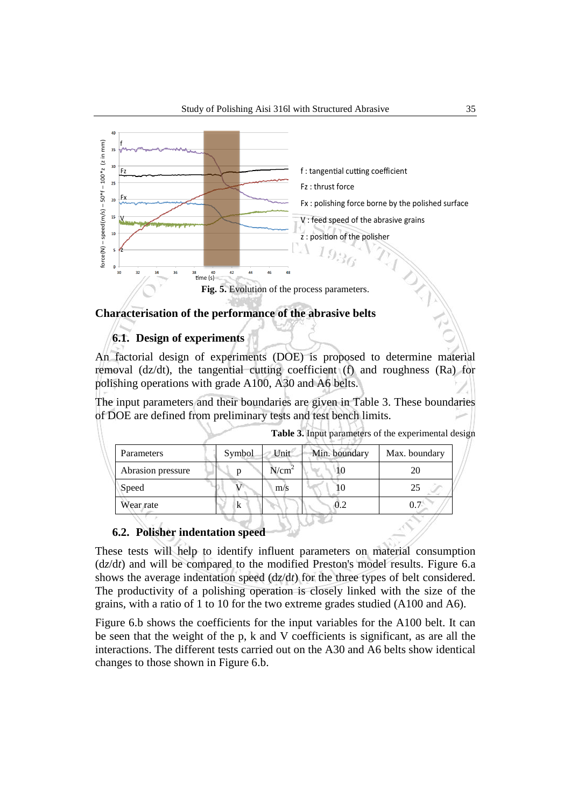

### **Characterisation of the performance of the abrasive belts**

# **6.1. Design of experiments**

An factorial design of experiments (DOE) is proposed to determine material removal (dz/dt), the tangential cutting coefficient (f) and roughness (Ra) for polishing operations with grade A100, A30 and A6 belts.

The input parameters and their boundaries are given in Table 3. These boundaries of DOE are defined from preliminary tests and test bench limits.

| Table 3. Input parameters of the experimental design |  |  |  |
|------------------------------------------------------|--|--|--|
|------------------------------------------------------|--|--|--|

x

| Parameters        | Symbol | Unit              | Min. boundary | Max. boundary |
|-------------------|--------|-------------------|---------------|---------------|
| Abrasion pressure |        | N/cm <sup>2</sup> |               | 20            |
| Speed             |        | m/s               |               | 25            |
| Wear rate         | k      |                   |               | 0.7           |
|                   |        |                   |               |               |

# **6.2. Polisher indentation speed**

These tests will help to identify influent parameters on material consumption (d*z*/d*t*) and will be compared to the modified Preston's model results. Figure 6.a shows the average indentation speed (d*z*/d*t*) for the three types of belt considered. The productivity of a polishing operation is closely linked with the size of the grains, with a ratio of 1 to 10 for the two extreme grades studied (A100 and A6).

Figure 6.b shows the coefficients for the input variables for the A100 belt. It can be seen that the weight of the p, k and V coefficients is significant, as are all the interactions. The different tests carried out on the A30 and A6 belts show identical changes to those shown in Figure 6.b.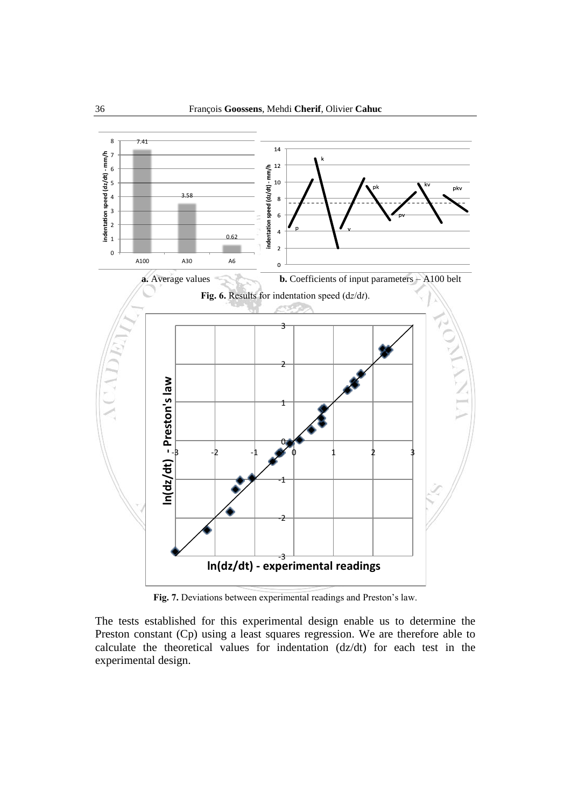

**Fig. 7.** Deviations between experimental readings and Preston's law.

The tests established for this experimental design enable us to determine the Preston constant (Cp) using a least squares regression. We are therefore able to calculate the theoretical values for indentation (dz/dt) for each test in the experimental design.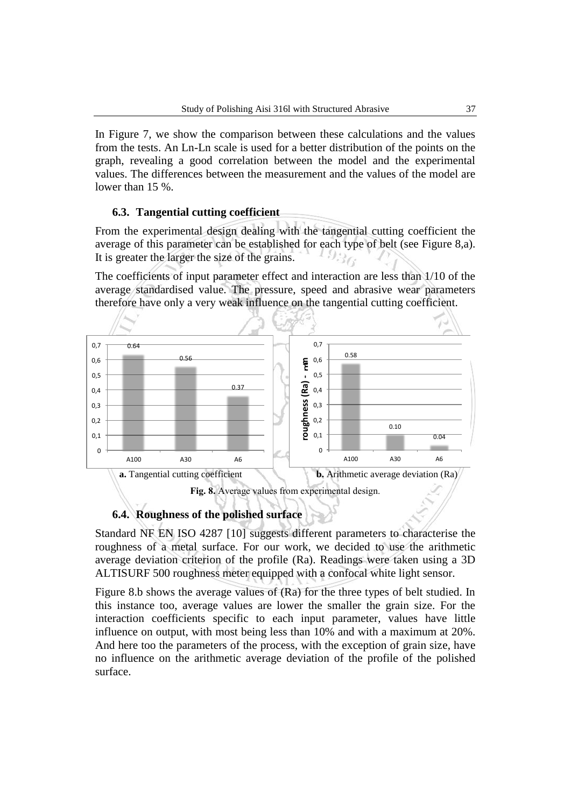In Figure 7, we show the comparison between these calculations and the values from the tests. An Ln-Ln scale is used for a better distribution of the points on the graph, revealing a good correlation between the model and the experimental values. The differences between the measurement and the values of the model are lower than 15 %.

### **6.3. Tangential cutting coefficient**

From the experimental design dealing with the tangential cutting coefficient the average of this parameter can be established for each type of belt (see Figure 8,a). It is greater the larger the size of the grains.

The coefficients of input parameter effect and interaction are less than 1/10 of the average standardised value. The pressure, speed and abrasive wear parameters therefore have only a very weak influence on the tangential cutting coefficient.





Standard NF EN ISO 4287 [10] suggests different parameters to characterise the roughness of a metal surface. For our work, we decided to use the arithmetic average deviation criterion of the profile (Ra). Readings were taken using a 3D ALTISURF 500 roughness meter equipped with a confocal white light sensor.

Figure 8.b shows the average values of (Ra) for the three types of belt studied. In this instance too, average values are lower the smaller the grain size. For the interaction coefficients specific to each input parameter, values have little influence on output, with most being less than 10% and with a maximum at 20%. And here too the parameters of the process, with the exception of grain size, have no influence on the arithmetic average deviation of the profile of the polished surface.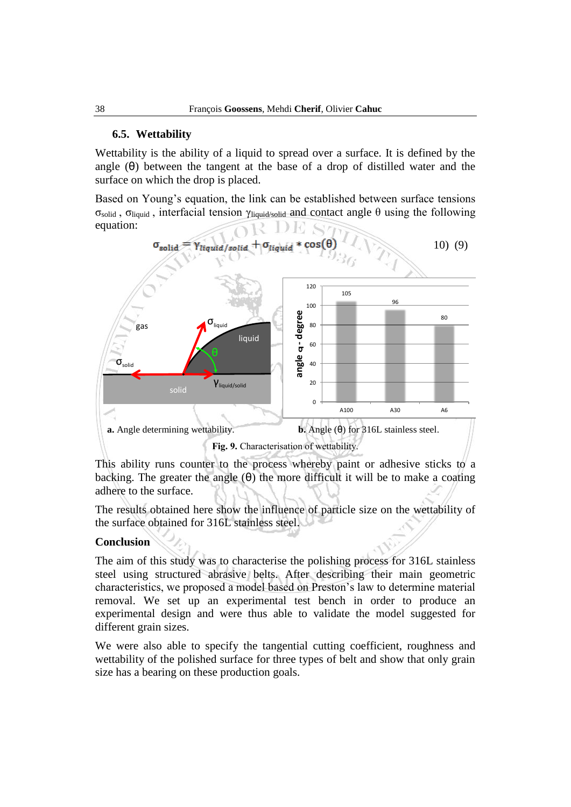# **6.5. Wettability**

Wettability is the ability of a liquid to spread over a surface. It is defined by the angle  $(\theta)$  between the tangent at the base of a drop of distilled water and the surface on which the drop is placed.

Based on Young's equation, the link can be established between surface tensions σ<sub>solid</sub>, σ<sub>liquid</sub>, interfacial tension γ<sub>liquid/solid</sub> and contact angle θ using the following equation:



This ability runs counter to the process whereby paint or adhesive sticks to a backing. The greater the angle  $(\theta)$  the more difficult it will be to make a coating adhere to the surface.

The results obtained here show the influence of particle size on the wettability of the surface obtained for 316L stainless steel.

# **Conclusion**

The aim of this study was to characterise the polishing process for 316L stainless steel using structured abrasive belts. After describing their main geometric characteristics, we proposed a model based on Preston's law to determine material removal. We set up an experimental test bench in order to produce an experimental design and were thus able to validate the model suggested for different grain sizes.

We were also able to specify the tangential cutting coefficient, roughness and wettability of the polished surface for three types of belt and show that only grain size has a bearing on these production goals.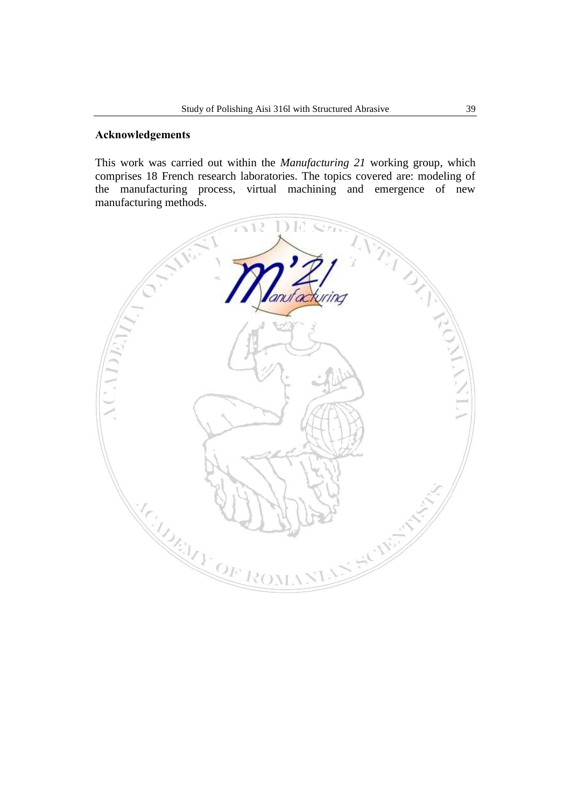## **Acknowledgements**

This work was carried out within the *Manufacturing 21* working group, which comprises 18 French research laboratories. The topics covered are: modeling of the manufacturing process, virtual machining and emergence of new manufacturing methods.